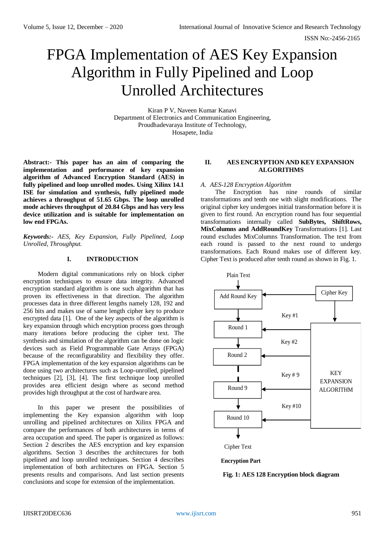# FPGA Implementation of AES Key Expansion Algorithm in Fully Pipelined and Loop Unrolled Architectures

Kiran P V, Naveen Kumar Kanavi Department of Electronics and Communication Engineering, Proudhadevaraya Institute of Technology, Hosapete, India

**Abstract:- This paper has an aim of comparing the implementation and performance of key expansion algorithm of Advanced Encryption Standard (AES) in fully pipelined and loop unrolled modes. Using Xilinx 14.1 ISE for simulation and synthesis, fully pipelined mode achieves a throughput of 51.65 Gbps. The loop unrolled mode achieves throughput of 20.84 Gbps and has very less device utilization and is suitable for implementation on low end FPGAs.**

*Keywords:- AES, Key Expansion, Fully Pipelined, Loop Unrolled, Throughput.*

# **I. INTRODUCTION**

Modern digital communications rely on block cipher encryption techniques to ensure data integrity. Advanced encryption standard algorithm is one such algorithm that has proven its effectiveness in that direction. The algorithm processes data in three different lengths namely 128, 192 and 256 bits and makes use of same length cipher key to produce encrypted data [1]. One of the key aspects of the algorithm is key expansion through which encryption process goes through many iterations before producing the cipher text. The synthesis and simulation of the algorithm can be done on logic devices such as Field Programmable Gate Arrays (FPGA) because of the reconfigurability and flexibility they offer. FPGA implementation of the key expansion algorithms can be done using two architectures such as Loop-unrolled, pipelined techniques [2], [3], [4]. The first technique loop unrolled provides area efficient design where as second method provides high throughput at the cost of hardware area.

In this paper we present the possibilities of implementing the Key expansion algorithm with loop unrolling and pipelined architectures on Xilinx FPGA and compare the performances of both architectures in terms of area occupation and speed. The paper is organized as follows: Section 2 describes the AES encryption and key expansion algorithms. Section 3 describes the architectures for both pipelined and loop unrolled techniques. Section 4 describes implementation of both architectures on FPGA. Section 5 presents results and comparisons. And last section presents conclusions and scope for extension of the implementation.

## **II. AES ENCRYPTION AND KEY EXPANSION ALGORITHMS**

## *A. AES-128 Encryption Algorithm*

The Encryption has nine rounds of similar transformations and tenth one with slight modifications. The original cipher key undergoes initial transformation before it is given to first round. An encryption round has four sequential transformations internally called **SubBytes, ShiftRows, MixColumns and AddRoundKey** Transformations [1]. Last round excludes MixColumns Transformation. The text from each round is passed to the next round to undergo transformations. Each Round makes use of different key. Cipher Text is produced after tenth round as shown in Fig. 1.



**Encryption Part** 

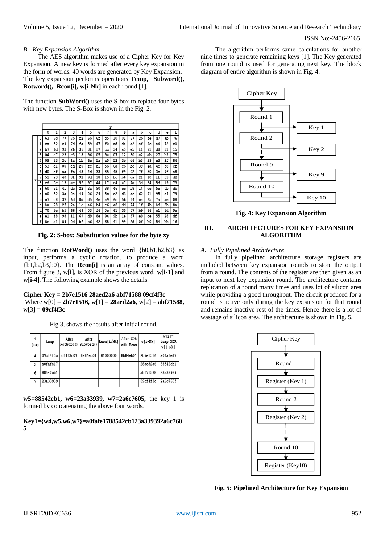### ISSN No:-2456-2165

## *B. Key Expansion Algorithm*

The AES algorithm makes use of a Cipher Key for Key Expansion. A new key is formed after every key expansion in the form of words. 40 words are generated by Key Expansion. The key expansion performs operations **Temp, Subword(), Rotword(), Rcon[i], w[i-Nk]** in each round [1].

The function **SubWord()** uses the S-box to replace four bytes with new bytes. The S-Box is shown in the Fig. 2.

|   |   | у              |    |                |    |    |    |    |    |    |    |    |    |    |                |                |    |
|---|---|----------------|----|----------------|----|----|----|----|----|----|----|----|----|----|----------------|----------------|----|
|   |   | 0              | 1  | $\overline{2}$ | 3  | 4  | 5  | 6  | 7  | 8  | 9  | a  | b  | c  | d              | e              | f  |
|   | 0 | 63             | 7c | 77             | 7b | £2 | 6b | 6f | c5 | 30 | 01 | 67 | 2b | fe | d7             | ab             | 76 |
| x | 1 | ca             | 82 | c9             | 7d | fa | 59 | 47 | f0 | ad | d4 | a2 | af | 9c | a4             | 72             | c0 |
|   | 2 | b7             | fd | 93             | 26 | 36 | 3f | f7 | cc | 34 | a5 | e5 | f1 | 71 | d8             | 31             | 15 |
|   | 3 | 04             | c7 | 23             | c3 | 18 | 96 | 05 | 9а | 07 | 12 | 80 | e2 | eb | 27             | b2             | 75 |
|   | 4 | 09             | 83 | 2c             | 1a | 1b | бe | 5а | a0 | 52 | 3b | d6 | b3 | 29 | e3             | 2f             | 84 |
|   | 5 | 53             | d1 | 00             | ed | 20 | fc | b1 | 5b | 6a | cb | be | 39 | 4a | 4 <sub>c</sub> | 58             | cf |
|   | 6 | d0             | ef | aa             | fb | 43 | 4d | 33 | 85 | 45 | £9 | 02 | 7f | 50 | 3c             | 9f             | a8 |
|   | 7 | 51             | a3 | 40             | 8f | 92 | 9d | 38 | £5 | bc | b6 | da | 21 | 10 | ff             | £3             | d2 |
|   | 8 | cd             | 0c | 13             | ec | 5f | 97 | 44 | 17 | c4 | a7 | 7е | 3d | 64 | 5d             | 19             | 73 |
|   | 9 | 60             | 81 | 4f             | dc | 22 | 2a | 90 | 88 | 46 | ee | b8 | 14 | de | 5e             | 0b             | db |
|   | a | e <sub>0</sub> | 32 | 3a             | 0a | 49 | 06 | 24 | 5c | c2 | d3 | ac | 62 | 91 | 95             | e <sub>4</sub> | 79 |
|   | b | e7             | c8 | 37             | 6d | 8d | d5 | 4e | a9 | 6с | 56 | f4 | ea | 65 | 7a             | ae             | 08 |
|   | c | ba             | 78 | 25             | 2е | 1c | a6 | b4 | c6 | e8 | dd | 74 | 1f | 4b | bd             | 8b             | 8a |
|   | d | 70             | 3e | b5             | 66 | 48 | 03 | f6 | 0e | 61 | 35 | 57 | b9 | 86 | c1             | 1d             | 9e |
|   | e | e1             | f8 | 98             | 11 | 69 | d9 | 8e | 94 | 9b | 1e | 87 | e9 | ce | 55             | 28             | df |
|   | f | 8c             | a1 | 89             | 0d | bf | e6 | 42 | 68 | 41 | 99 | 2d | 0f | ЪO | 54             | bb             | 16 |

**Fig. 2: S-box: Substitution values for the byte xy**

The function **RotWord()** uses the word {b0,b1,b2,b3} as input, performs a cyclic rotation, to produce a word {b1,b2,b3,b0}. The **Rcon[i]** is an array of constant values. From figure 3, w[**i**], is XOR of the previous word, **w**[**i-1**] and **w**[**i-4**]. The following example shows the details.

**Cipher Key = 2b7e1516 28aed2a6 abf71588 09cf4f3c** Where  $w[0] = 2b7e1516$ ,  $w[1] = 28aed2a6$ ,  $w[2] = abf71588$ , w[3] = **09cf4f3c**

Fig.3, shows the results after initial round.

| i<br>(dec) | temp     | After<br>RotWord() SubWord() | After    | Rcon[i/Nk] | After XOR<br>with Rcon | w[i-Nk]  | $w[i] =$<br>temp XOR<br>wli-Nkl |
|------------|----------|------------------------------|----------|------------|------------------------|----------|---------------------------------|
| 4          | 09cf4f3c | cf4f3c09                     | 8a84eb01 | 01000000   | 8b84eb01               | 2b7e1516 | a0fafe17                        |
| 5          | a0fafe17 |                              |          |            |                        | 28aed2a6 | 88542cb1                        |
| 6          | 88542cb1 |                              |          |            |                        | abf71588 | 23a33939                        |
|            | 23a33939 |                              |          |            |                        | 09cf4f3c | 2a6c7605                        |

**w5=88542cb1, w6=23a33939, w7=2a6c7605,** the key 1 is formed by concatenating the above four words.

**Key1={w4,w5,w6,w7}=a0fafe1788542cb123a339392a6c760 5**

The algorithm performs same calculations for another nine times to generate remaining keys [1]. The Key generated from one round is used for generating next key. The block diagram of entire algorithm is shown in Fig. 4.



**Fig. 4: Key Expansion Algorithm**

# **III. ARCHITECTURES FOR KEY EXPANSION ALGORITHM**

*A. Fully Pipelined Architecture*

In fully pipelined architecture storage registers are included between key expansion rounds to store the output from a round. The contents of the register are then given as an input to next key expansion round. The architecture contains replication of a round many times and uses lot of silicon area while providing a good throughput. The circuit produced for a round is active only during the key expansion for that round and remains inactive rest of the times. Hence there is a lot of wastage of silicon area. The architecture is shown in Fig. 5.



**Fig. 5: Pipelined Architecture for Key Expansion**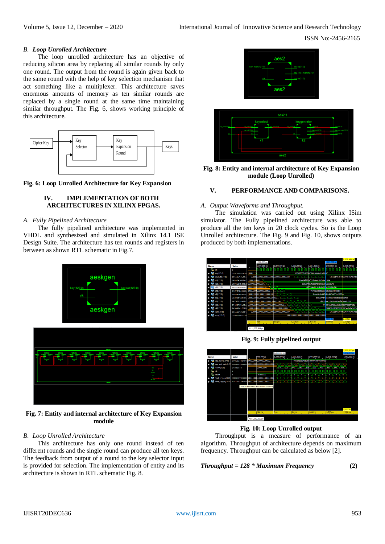# ISSN No:-2456-2165

## *B. Loop Unrolled Architecture*

The loop unrolled architecture has an objective of reducing silicon area by replacing all similar rounds by only one round. The output from the round is again given back to the same round with the help of key selection mechanism that act something like a multiplexer. This architecture saves enormous amounts of memory as ten similar rounds are replaced by a single round at the same time maintaining similar throughput. The Fig. 6, shows working principle of this architecture.



**Fig. 6: Loop Unrolled Architecture for Key Expansion**

# **IV. IMPLEMENTATION OFBOTH ARCHITECTURES IN XILINX FPGAS.**

# *A. Fully Pipelined Architecture*

The fully pipelined architecture was implemented in VHDL and synthesized and simulated in Xilinx 14.1 ISE Design Suite. The architecture has ten rounds and registers in between as shown RTL schematic in Fig.7.



**Fig. 7: Entity and internal architecture of Key Expansion module**

# *B. Loop Unrolled Architecture*

This architecture has only one round instead of ten different rounds and the single round can produce all ten keys. The feedback from output of a round to the key selector input is provided for selection. The implementation of entity and its architecture is shown in RTL schematic Fig. 8.





**Fig. 8: Entity and internal architecture of Key Expansion module (Loop Unrolled)**

## **V. PERFORMANCE AND COMPARISONS.**

## *A. Output Waveforms and Throughput.*

The simulation was carried out using Xilinx ISim simulator. The Fully pipelined architecture was able to produce all the ten keys in 20 clock cycles. So is the Loop Unrolled architecture. The Fig. 9 and Fig. 10, shows outputs produced by both implementations.



**Fig. 9: Fully pipelined output**



**Fig. 10: Loop Unrolled output**

Throughput is a measure of performance of an algorithm. Throughput of architecture depends on maximum frequency. Throughput can be calculated as below [2].

# *Throughput = 128 \* Maximum Frequency* **(2)**